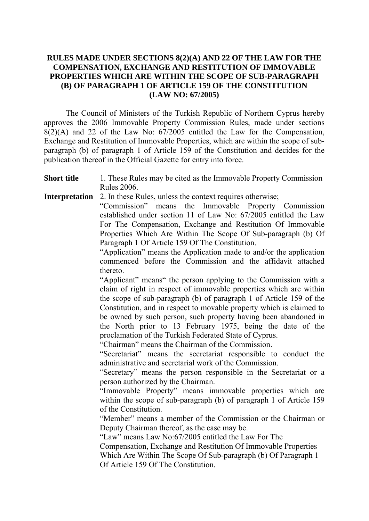## **RULES MADE UNDER SECTIONS 8(2)(A) AND 22 OF THE LAW FOR THE COMPENSATION, EXCHANGE AND RESTITUTION OF IMMOVABLE PROPERTIES WHICH ARE WITHIN THE SCOPE OF SUB-PARAGRAPH (B) OF PARAGRAPH 1 OF ARTICLE 159 OF THE CONSTITUTION (LAW NO: 67/2005)**

 The Council of Ministers of the Turkish Republic of Northern Cyprus hereby approves the 2006 Immovable Property Commission Rules, made under sections  $8(2)(A)$  and 22 of the Law No:  $67/2005$  entitled the Law for the Compensation, Exchange and Restitution of Immovable Properties, which are within the scope of subparagraph (b) of paragraph 1 of Article 159 of the Constitution and decides for the publication thereof in the Official Gazette for entry into force.

## **Short title** 1. These Rules may be cited as the Immovable Property Commission Rules 2006.

## **Interpretation** 2. In these Rules, unless the context requires otherwise;

"Commission" means the Immovable Property Commission established under section 11 of Law No: 67/2005 entitled the Law For The Compensation, Exchange and Restitution Of Immovable Properties Which Are Within The Scope Of Sub-paragraph (b) Of Paragraph 1 Of Article 159 Of The Constitution.

"Application" means the Application made to and/or the application commenced before the Commission and the affidavit attached thereto.

"Applicant" means" the person applying to the Commission with a claim of right in respect of immovable properties which are within the scope of sub-paragraph (b) of paragraph 1 of Article 159 of the Constitution, and in respect to movable property which is claimed to be owned by such person, such property having been abandoned in the North prior to 13 February 1975, being the date of the proclamation of the Turkish Federated State of Cyprus.

"Chairman" means the Chairman of the Commission.

"Secretariat" means the secretariat responsible to conduct the administrative and secretarial work of the Commission.

"Secretary" means the person responsible in the Secretariat or a person authorized by the Chairman.

"Immovable Property" means immovable properties which are within the scope of sub-paragraph (b) of paragraph 1 of Article 159 of the Constitution.

"Member" means a member of the Commission or the Chairman or Deputy Chairman thereof, as the case may be.

"Law" means Law No:67/2005 entitled the Law For The

Compensation, Exchange and Restitution Of Immovable Properties Which Are Within The Scope Of Sub-paragraph (b) Of Paragraph 1 Of Article 159 Of The Constitution.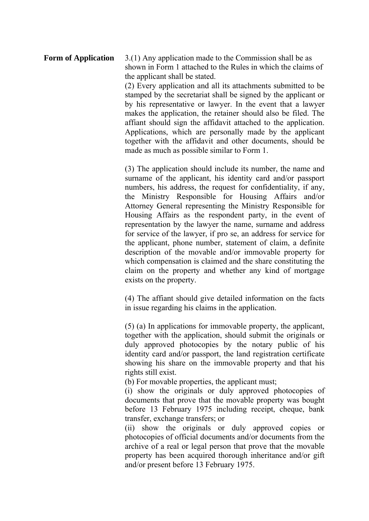**Form of Application** 3.(1) Any application made to the Commission shall be as shown in Form 1 attached to the Rules in which the claims of the applicant shall be stated. (2) Every application and all its attachments submitted to be stamped by the secretariat shall be signed by the applicant or by his representative or lawyer. In the event that a lawyer makes the application, the retainer should also be filed. The affiant should sign the affidavit attached to the application. Applications, which are personally made by the applicant together with the affidavit and other documents, should be made as much as possible similar to Form 1.

> (3) The application should include its number, the name and surname of the applicant, his identity card and/or passport numbers, his address, the request for confidentiality, if any, the Ministry Responsible for Housing Affairs and/or Attorney General representing the Ministry Responsible for Housing Affairs as the respondent party, in the event of representation by the lawyer the name, surname and address for service of the lawyer, if pro se, an address for service for the applicant, phone number, statement of claim, a definite description of the movable and/or immovable property for which compensation is claimed and the share constituting the claim on the property and whether any kind of mortgage exists on the property.

> (4) The affiant should give detailed information on the facts in issue regarding his claims in the application.

> (5) (a) In applications for immovable property, the applicant, together with the application, should submit the originals or duly approved photocopies by the notary public of his identity card and/or passport, the land registration certificate showing his share on the immovable property and that his rights still exist.

(b) For movable properties, the applicant must;

(i) show the originals or duly approved photocopies of documents that prove that the movable property was bought before 13 February 1975 including receipt, cheque, bank transfer, exchange transfers; or

(ii) show the originals or duly approved copies or photocopies of official documents and/or documents from the archive of a real or legal person that prove that the movable property has been acquired thorough inheritance and/or gift and/or present before 13 February 1975.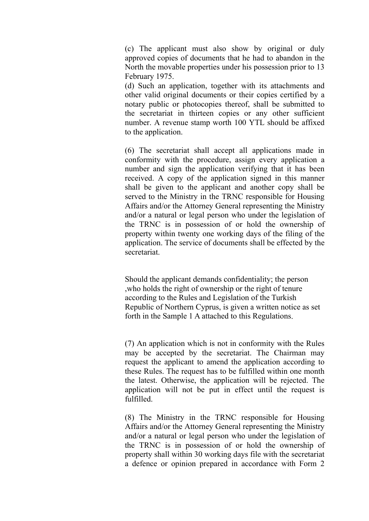(c) The applicant must also show by original or duly approved copies of documents that he had to abandon in the North the movable properties under his possession prior to 13 February 1975.

(d) Such an application, together with its attachments and other valid original documents or their copies certified by a notary public or photocopies thereof, shall be submitted to the secretariat in thirteen copies or any other sufficient number. A revenue stamp worth 100 YTL should be affixed to the application.

(6) The secretariat shall accept all applications made in conformity with the procedure, assign every application a number and sign the application verifying that it has been received. A copy of the application signed in this manner shall be given to the applicant and another copy shall be served to the Ministry in the TRNC responsible for Housing Affairs and/or the Attorney General representing the Ministry and/or a natural or legal person who under the legislation of the TRNC is in possession of or hold the ownership of property within twenty one working days of the filing of the application. The service of documents shall be effected by the secretariat.

Should the applicant demands confidentiality; the person ,who holds the right of ownership or the right of tenure according to the Rules and Legislation of the Turkish Republic of Northern Cyprus, is given a written notice as set forth in the Sample 1 A attached to this Regulations.

(7) An application which is not in conformity with the Rules may be accepted by the secretariat. The Chairman may request the applicant to amend the application according to these Rules. The request has to be fulfilled within one month the latest. Otherwise, the application will be rejected. The application will not be put in effect until the request is fulfilled.

(8) The Ministry in the TRNC responsible for Housing Affairs and/or the Attorney General representing the Ministry and/or a natural or legal person who under the legislation of the TRNC is in possession of or hold the ownership of property shall within 30 working days file with the secretariat a defence or opinion prepared in accordance with Form 2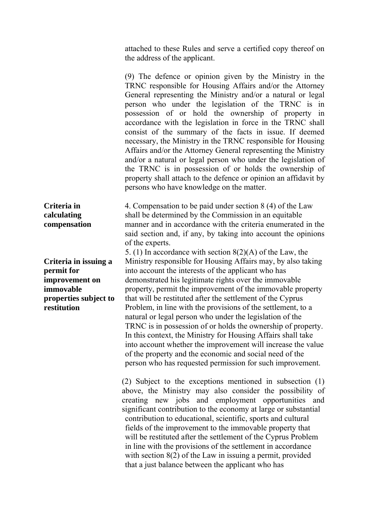attached to these Rules and serve a certified copy thereof on the address of the applicant.

(9) The defence or opinion given by the Ministry in the TRNC responsible for Housing Affairs and/or the Attorney General representing the Ministry and/or a natural or legal person who under the legislation of the TRNC is in possession of or hold the ownership of property in accordance with the legislation in force in the TRNC shall consist of the summary of the facts in issue. If deemed necessary, the Ministry in the TRNC responsible for Housing Affairs and/or the Attorney General representing the Ministry and/or a natural or legal person who under the legislation of the TRNC is in possession of or holds the ownership of property shall attach to the defence or opinion an affidavit by persons who have knowledge on the matter.

**Criteria in**  4. Compensation to be paid under section 8 (4) of the Law shall be determined by the Commission in an equitable manner and in accordance with the criteria enumerated in the said section and, if any, by taking into account the opinions of the experts.

5. (1) In accordance with section 8(2)(A) of the Law, the Ministry responsible for Housing Affairs may, by also taking into account the interests of the applicant who has demonstrated his legitimate rights over the immovable property, permit the improvement of the immovable property that will be restituted after the settlement of the Cyprus Problem, in line with the provisions of the settlement, to a natural or legal person who under the legislation of the TRNC is in possession of or holds the ownership of property. In this context, the Ministry for Housing Affairs shall take into account whether the improvement will increase the value of the property and the economic and social need of the person who has requested permission for such improvement.

(2) Subject to the exceptions mentioned in subsection (1) above, the Ministry may also consider the possibility of creating new jobs and employment opportunities and significant contribution to the economy at large or substantial contribution to educational, scientific, sports and cultural fields of the improvement to the immovable property that will be restituted after the settlement of the Cyprus Problem in line with the provisions of the settlement in accordance with section 8(2) of the Law in issuing a permit, provided that a just balance between the applicant who has

**calculating compensation** 

**Criteria in issuing a permit for improvement on immovable properties subject to restitution**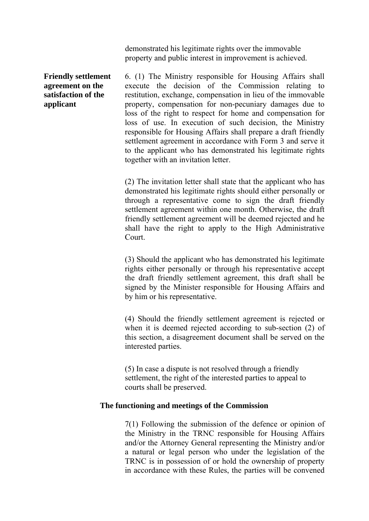demonstrated his legitimate rights over the immovable property and public interest in improvement is achieved.

## **Friendly settlement agreement on the satisfaction of the applicant**

6. (1) The Ministry responsible for Housing Affairs shall execute the decision of the Commission relating to restitution, exchange, compensation in lieu of the immovable property, compensation for non-pecuniary damages due to loss of the right to respect for home and compensation for loss of use. In execution of such decision, the Ministry responsible for Housing Affairs shall prepare a draft friendly settlement agreement in accordance with Form 3 and serve it to the applicant who has demonstrated his legitimate rights together with an invitation letter.

(2) The invitation letter shall state that the applicant who has demonstrated his legitimate rights should either personally or through a representative come to sign the draft friendly settlement agreement within one month. Otherwise, the draft friendly settlement agreement will be deemed rejected and he shall have the right to apply to the High Administrative Court.

(3) Should the applicant who has demonstrated his legitimate rights either personally or through his representative accept the draft friendly settlement agreement, this draft shall be signed by the Minister responsible for Housing Affairs and by him or his representative.

(4) Should the friendly settlement agreement is rejected or when it is deemed rejected according to sub-section (2) of this section, a disagreement document shall be served on the interested parties.

(5) In case a dispute is not resolved through a friendly settlement, the right of the interested parties to appeal to courts shall be preserved.

# **The functioning and meetings of the Commission**

7(1) Following the submission of the defence or opinion of the Ministry in the TRNC responsible for Housing Affairs and/or the Attorney General representing the Ministry and/or a natural or legal person who under the legislation of the TRNC is in possession of or hold the ownership of property in accordance with these Rules, the parties will be convened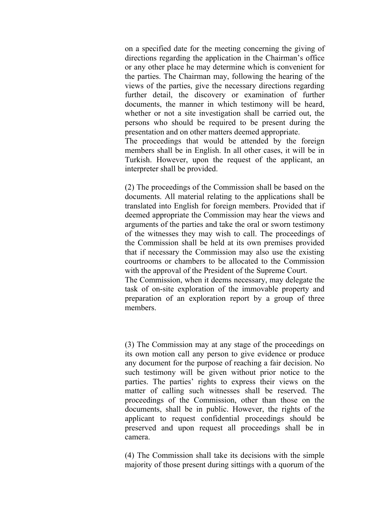on a specified date for the meeting concerning the giving of directions regarding the application in the Chairman's office or any other place he may determine which is convenient for the parties. The Chairman may, following the hearing of the views of the parties, give the necessary directions regarding further detail, the discovery or examination of further documents, the manner in which testimony will be heard, whether or not a site investigation shall be carried out, the persons who should be required to be present during the presentation and on other matters deemed appropriate.

The proceedings that would be attended by the foreign members shall be in English. In all other cases, it will be in Turkish. However, upon the request of the applicant, an interpreter shall be provided.

(2) The proceedings of the Commission shall be based on the documents. All material relating to the applications shall be translated into English for foreign members. Provided that if deemed appropriate the Commission may hear the views and arguments of the parties and take the oral or sworn testimony of the witnesses they may wish to call. The proceedings of the Commission shall be held at its own premises provided that if necessary the Commission may also use the existing courtrooms or chambers to be allocated to the Commission with the approval of the President of the Supreme Court.

The Commission, when it deems necessary, may delegate the task of on-site exploration of the immovable property and preparation of an exploration report by a group of three members.

(3) The Commission may at any stage of the proceedings on its own motion call any person to give evidence or produce any document for the purpose of reaching a fair decision. No such testimony will be given without prior notice to the parties. The parties' rights to express their views on the matter of calling such witnesses shall be reserved. The proceedings of the Commission, other than those on the documents, shall be in public. However, the rights of the applicant to request confidential proceedings should be preserved and upon request all proceedings shall be in camera.

(4) The Commission shall take its decisions with the simple majority of those present during sittings with a quorum of the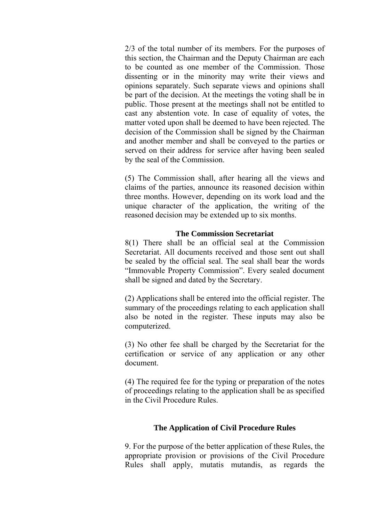2/3 of the total number of its members. For the purposes of this section, the Chairman and the Deputy Chairman are each to be counted as one member of the Commission. Those dissenting or in the minority may write their views and opinions separately. Such separate views and opinions shall be part of the decision. At the meetings the voting shall be in public. Those present at the meetings shall not be entitled to cast any abstention vote. In case of equality of votes, the matter voted upon shall be deemed to have been rejected. The decision of the Commission shall be signed by the Chairman and another member and shall be conveyed to the parties or served on their address for service after having been sealed by the seal of the Commission.

(5) The Commission shall, after hearing all the views and claims of the parties, announce its reasoned decision within three months. However, depending on its work load and the unique character of the application, the writing of the reasoned decision may be extended up to six months.

## **The Commission Secretariat**

8(1) There shall be an official seal at the Commission Secretariat. All documents received and those sent out shall be sealed by the official seal. The seal shall bear the words "Immovable Property Commission". Every sealed document shall be signed and dated by the Secretary.

(2) Applications shall be entered into the official register. The summary of the proceedings relating to each application shall also be noted in the register. These inputs may also be computerized.

(3) No other fee shall be charged by the Secretariat for the certification or service of any application or any other document.

(4) The required fee for the typing or preparation of the notes of proceedings relating to the application shall be as specified in the Civil Procedure Rules.

# **The Application of Civil Procedure Rules**

9. For the purpose of the better application of these Rules, the appropriate provision or provisions of the Civil Procedure Rules shall apply, mutatis mutandis, as regards the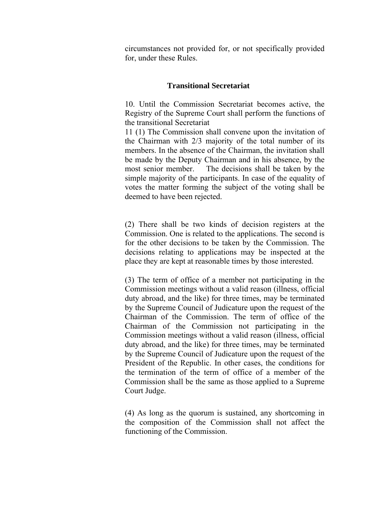circumstances not provided for, or not specifically provided for, under these Rules.

## **Transitional Secretariat**

10. Until the Commission Secretariat becomes active, the Registry of the Supreme Court shall perform the functions of the transitional Secretariat

11 (1) The Commission shall convene upon the invitation of the Chairman with 2/3 majority of the total number of its members. In the absence of the Chairman, the invitation shall be made by the Deputy Chairman and in his absence, by the most senior member. The decisions shall be taken by the simple majority of the participants. In case of the equality of votes the matter forming the subject of the voting shall be deemed to have been rejected.

(2) There shall be two kinds of decision registers at the Commission. One is related to the applications. The second is for the other decisions to be taken by the Commission. The decisions relating to applications may be inspected at the place they are kept at reasonable times by those interested.

(3) The term of office of a member not participating in the Commission meetings without a valid reason (illness, official duty abroad, and the like) for three times, may be terminated by the Supreme Council of Judicature upon the request of the Chairman of the Commission. The term of office of the Chairman of the Commission not participating in the Commission meetings without a valid reason (illness, official duty abroad, and the like) for three times, may be terminated by the Supreme Council of Judicature upon the request of the President of the Republic. In other cases, the conditions for the termination of the term of office of a member of the Commission shall be the same as those applied to a Supreme Court Judge.

(4) As long as the quorum is sustained, any shortcoming in the composition of the Commission shall not affect the functioning of the Commission.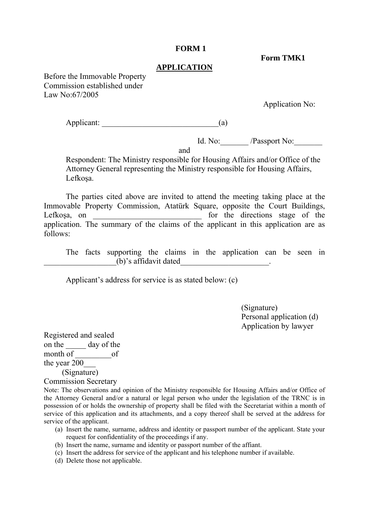#### **FORM 1**

 **Form TMK1** 

#### **APPLICATION**

Before the Immovable Property Commission established under Law No:67/2005

Application No:

Applicant:  $\qquad \qquad$  (a)

Id. No: /Passport No:

and

Respondent: The Ministry responsible for Housing Affairs and/or Office of the Attorney General representing the Ministry responsible for Housing Affairs, Lefkoşa.

 The parties cited above are invited to attend the meeting taking place at the Immovable Property Commission, Atatürk Square, opposite the Court Buildings, Lefkoşa, on \_\_\_\_\_\_\_\_\_\_\_\_\_\_\_\_\_\_\_\_\_\_\_\_\_\_\_ for the directions stage of the application. The summary of the claims of the applicant in this application are as follows:

 The facts supporting the claims in the application can be seen in  $(b)$ 's affidavit dated

Applicant's address for service is as stated below: (c)

 (Signature) Personal application (d) Application by lawyer

Registered and sealed on the <u>same day</u> of the month  $of$  \_\_\_\_\_\_\_\_\_\_\_\_\_\_\_of the year 200\_\_\_ (Signature)

Commission Secretary

Note: The observations and opinion of the Ministry responsible for Housing Affairs and/or Office of the Attorney General and/or a natural or legal person who under the legislation of the TRNC is in possession of or holds the ownership of property shall be filed with the Secretariat within a month of service of this application and its attachments, and a copy thereof shall be served at the address for service of the applicant.

- (a) Insert the name, surname, address and identity or passport number of the applicant. State your request for confidentiality of the proceedings if any.
- (b) Insert the name, surname and identity or passport number of the affiant.
- (c) Insert the address for service of the applicant and his telephone number if available.
- (d) Delete those not applicable.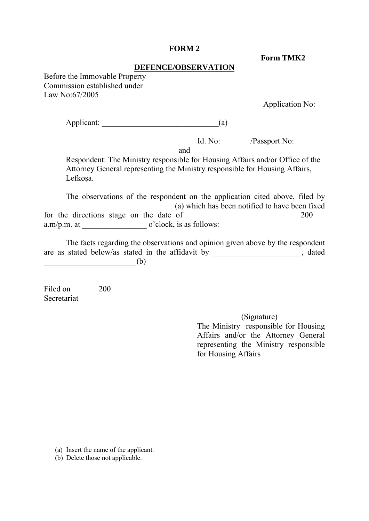#### **FORM 2**

 **Form TMK2** 

#### **DEFENCE/OBSERVATION**

Before the Immovable Property Commission established under Law No:67/2005

Application No:

Applicant:  $\qquad \qquad$  (a)

Id. No: /Passport No:

and

Respondent: The Ministry responsible for Housing Affairs and/or Office of the Attorney General representing the Ministry responsible for Housing Affairs, Lefkoşa.

 The observations of the respondent on the application cited above, filed by  $\overline{\hspace{1cm}}$  (a) which has been notified to have been fixed for the directions stage on the date of \_\_\_\_\_\_\_\_\_\_\_\_\_\_\_\_\_\_\_\_\_\_\_\_\_\_\_ 200\_\_\_ a.m/p.m. at  $\qquad \qquad$  o'clock, is as follows:

 The facts regarding the observations and opinion given above by the respondent are as stated below/as stated in the affidavit by \_\_\_\_\_\_\_\_\_\_\_\_\_\_\_\_\_\_\_, dated  $\qquad \qquad$  (b)

Filed on \_\_\_\_\_\_\_ 200\_\_ Secretariat

> (Signature) The Ministry responsible for Housing Affairs and/or the Attorney General representing the Ministry responsible for Housing Affairs

(a) Insert the name of the applicant.

(b) Delete those not applicable.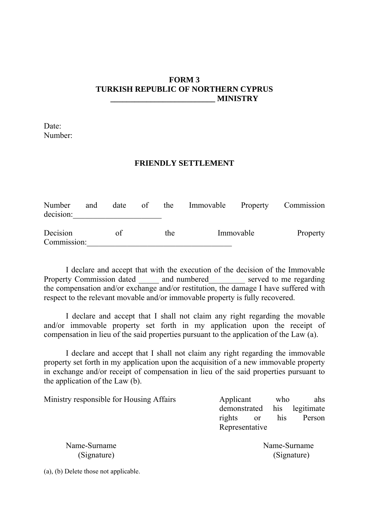## **FORM 3 TURKISH REPUBLIC OF NORTHERN CYPRUS \_\_\_\_\_\_\_\_\_\_\_\_\_\_\_\_\_\_\_\_\_\_\_\_\_\_ MINISTRY**

Date: Number:

#### **FRIENDLY SETTLEMENT**

| Number<br>decision:     | and | date | of | the | Immovable Property |           | Commission |
|-------------------------|-----|------|----|-----|--------------------|-----------|------------|
| Decision<br>Commission: |     | οf   |    | the |                    | Immovable | Property   |

 I declare and accept that with the execution of the decision of the Immovable Property Commission dated and numbered served to me regarding the compensation and/or exchange and/or restitution, the damage I have suffered with respect to the relevant movable and/or immovable property is fully recovered.

 I declare and accept that I shall not claim any right regarding the movable and/or immovable property set forth in my application upon the receipt of compensation in lieu of the said properties pursuant to the application of the Law (a).

 I declare and accept that I shall not claim any right regarding the immovable property set forth in my application upon the acquisition of a new immovable property in exchange and/or receipt of compensation in lieu of the said properties pursuant to the application of the Law (b).

| Ministry responsible for Housing Affairs | Applicant               | who | ahs            |
|------------------------------------------|-------------------------|-----|----------------|
|                                          | demonstrated            |     | his legitimate |
|                                          | rights<br><sub>or</sub> | his | Person         |
|                                          | Representative          |     |                |
| Name-Surname                             |                         |     | Name-Surname   |

(Signature) (Signature)

(a), (b) Delete those not applicable.